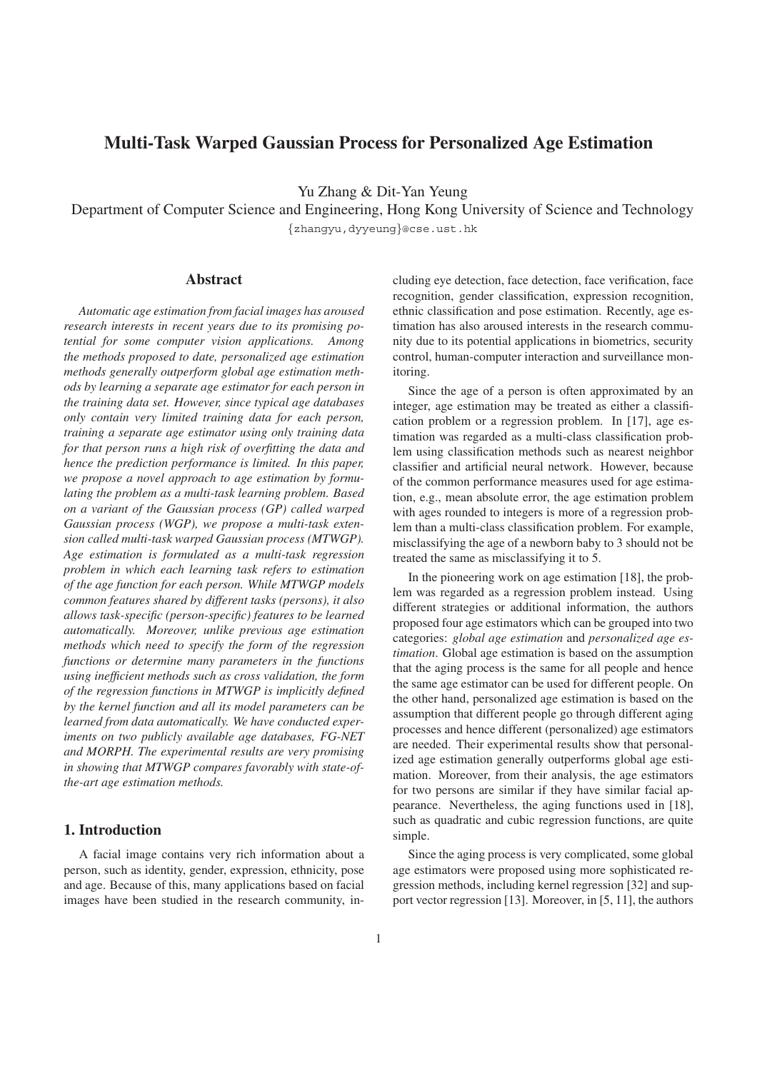# **Multi-Task Warped Gaussian Process for Personalized Age Estimation**

Yu Zhang & Dit-Yan Yeung

Department of Computer Science and Engineering, Hong Kong University of Science and Technology {zhangyu,dyyeung}@cse.ust.hk

**Abstract**

*Automatic age estimation from facial images has aroused research interests in recent years due to its promising potential for some computer vision applications. Among the methods proposed to date, personalized age estimation methods generally outperform global age estimation methods by learning a separate age estimator for each person in the training data set. However, since typical age databases only contain very limited training data for each person, training a separate age estimator using only training data for that person runs a high risk of overfitting the data and hence the prediction performance is limited. In this paper, we propose a novel approach to age estimation by formulating the problem as a multi-task learning problem. Based on a variant of the Gaussian process (GP) called warped Gaussian process (WGP), we propose a multi-task extension called multi-task warped Gaussian process (MTWGP). Age estimation is formulated as a multi-task regression problem in which each learning task refers to estimation of the age function for each person. While MTWGP models common features shared by different tasks (persons), it also allows task-specific (person-specific) features to be learned automatically. Moreover, unlike previous age estimation methods which need to specify the form of the regression functions or determine many parameters in the functions using inefficient methods such as cross validation, the form of the regression functions in MTWGP is implicitly defined by the kernel function and all its model parameters can be learned from data automatically. We have conducted experiments on two publicly available age databases, FG-NET and MORPH. The experimental results are very promising in showing that MTWGP compares favorably with state-ofthe-art age estimation methods.*

# **1. Introduction**

A facial image contains very rich information about a person, such as identity, gender, expression, ethnicity, pose and age. Because of this, many applications based on facial images have been studied in the research community, including eye detection, face detection, face verification, face recognition, gender classification, expression recognition, ethnic classification and pose estimation. Recently, age estimation has also aroused interests in the research community due to its potential applications in biometrics, security control, human-computer interaction and surveillance monitoring.

Since the age of a person is often approximated by an integer, age estimation may be treated as either a classification problem or a regression problem. In [17], age estimation was regarded as a multi-class classification problem using classification methods such as nearest neighbor classifier and artificial neural network. However, because of the common performance measures used for age estimation, e.g., mean absolute error, the age estimation problem with ages rounded to integers is more of a regression problem than a multi-class classification problem. For example, misclassifying the age of a newborn baby to 3 should not be treated the same as misclassifying it to 5.

In the pioneering work on age estimation [18], the problem was regarded as a regression problem instead. Using different strategies or additional information, the authors proposed four age estimators which can be grouped into two categories: *global age estimation* and *personalized age estimation*. Global age estimation is based on the assumption that the aging process is the same for all people and hence the same age estimator can be used for different people. On the other hand, personalized age estimation is based on the assumption that different people go through different aging processes and hence different (personalized) age estimators are needed. Their experimental results show that personalized age estimation generally outperforms global age estimation. Moreover, from their analysis, the age estimators for two persons are similar if they have similar facial appearance. Nevertheless, the aging functions used in [18], such as quadratic and cubic regression functions, are quite simple.

Since the aging process is very complicated, some global age estimators were proposed using more sophisticated regression methods, including kernel regression [32] and support vector regression [13]. Moreover, in [5, 11], the authors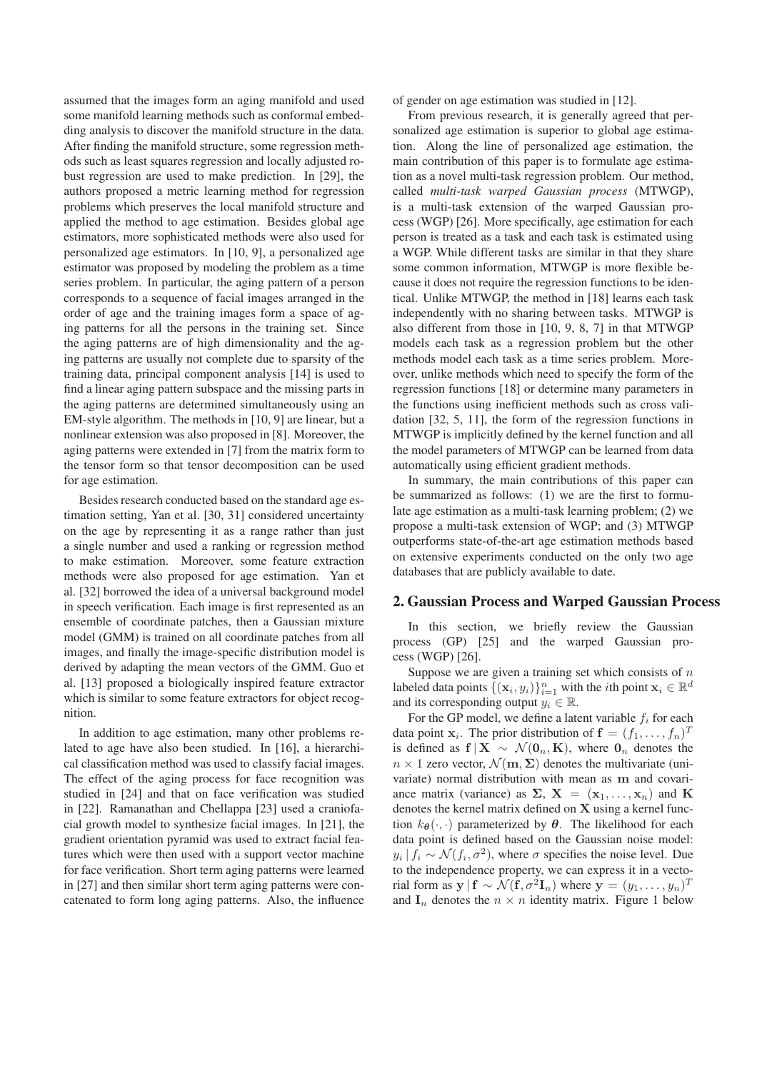assumed that the images form an aging manifold and used some manifold learning methods such as conformal embedding analysis to discover the manifold structure in the data. After finding the manifold structure, some regression methods such as least squares regression and locally adjusted robust regression are used to make prediction. In [29], the authors proposed a metric learning method for regression problems which preserves the local manifold structure and applied the method to age estimation. Besides global age estimators, more sophisticated methods were also used for personalized age estimators. In [10, 9], a personalized age estimator was proposed by modeling the problem as a time series problem. In particular, the aging pattern of a person corresponds to a sequence of facial images arranged in the order of age and the training images form a space of aging patterns for all the persons in the training set. Since the aging patterns are of high dimensionality and the aging patterns are usually not complete due to sparsity of the training data, principal component analysis [14] is used to find a linear aging pattern subspace and the missing parts in the aging patterns are determined simultaneously using an EM-style algorithm. The methods in [10, 9] are linear, but a nonlinear extension was also proposed in [8]. Moreover, the aging patterns were extended in [7] from the matrix form to the tensor form so that tensor decomposition can be used for age estimation.

Besides research conducted based on the standard age estimation setting, Yan et al. [30, 31] considered uncertainty on the age by representing it as a range rather than just a single number and used a ranking or regression method to make estimation. Moreover, some feature extraction methods were also proposed for age estimation. Yan et al. [32] borrowed the idea of a universal background model in speech verification. Each image is first represented as an ensemble of coordinate patches, then a Gaussian mixture model (GMM) is trained on all coordinate patches from all images, and finally the image-specific distribution model is derived by adapting the mean vectors of the GMM. Guo et al. [13] proposed a biologically inspired feature extractor which is similar to some feature extractors for object recognition.

In addition to age estimation, many other problems related to age have also been studied. In [16], a hierarchical classification method was used to classify facial images. The effect of the aging process for face recognition was studied in [24] and that on face verification was studied in [22]. Ramanathan and Chellappa [23] used a craniofacial growth model to synthesize facial images. In [21], the gradient orientation pyramid was used to extract facial features which were then used with a support vector machine for face verification. Short term aging patterns were learned in [27] and then similar short term aging patterns were concatenated to form long aging patterns. Also, the influence of gender on age estimation was studied in [12].

From previous research, it is generally agreed that personalized age estimation is superior to global age estimation. Along the line of personalized age estimation, the main contribution of this paper is to formulate age estimation as a novel multi-task regression problem. Our method, called *multi-task warped Gaussian process* (MTWGP), is a multi-task extension of the warped Gaussian process (WGP) [26]. More specifically, age estimation for each person is treated as a task and each task is estimated using a WGP. While different tasks are similar in that they share some common information, MTWGP is more flexible because it does not require the regression functions to be identical. Unlike MTWGP, the method in [18] learns each task independently with no sharing between tasks. MTWGP is also different from those in [10, 9, 8, 7] in that MTWGP models each task as a regression problem but the other methods model each task as a time series problem. Moreover, unlike methods which need to specify the form of the regression functions [18] or determine many parameters in the functions using inefficient methods such as cross validation [32, 5, 11], the form of the regression functions in MTWGP is implicitly defined by the kernel function and all the model parameters of MTWGP can be learned from data automatically using efficient gradient methods.

In summary, the main contributions of this paper can be summarized as follows: (1) we are the first to formulate age estimation as a multi-task learning problem; (2) we propose a multi-task extension of WGP; and (3) MTWGP outperforms state-of-the-art age estimation methods based on extensive experiments conducted on the only two age databases that are publicly available to date.

#### **2. Gaussian Process and Warped Gaussian Process**

In this section, we briefly review the Gaussian process (GP) [25] and the warped Gaussian process (WGP) [26].

Suppose we are given a training set which consists of  $n$ labeled data points  $\{(\mathbf{x}_i, y_i)\}_{i=1}^n$  with the *i*th point  $\mathbf{x}_i \in \mathbb{R}^d$ <br>and its corresponding output  $u_i \in \mathbb{R}$ and its corresponding output  $y_i \in \mathbb{R}$ .

For the GP model, we define a latent variable  $f_i$  for each data point **x**<sub>i</sub>. The prior distribution of  $f = (f_1, \ldots, f_n)^T$ is defined as **f** | **X** ∼  $\mathcal{N}(\mathbf{0}_n, \mathbf{K})$ , where  $\mathbf{0}_n$  denotes the  $n \times 1$  zero vector,  $\mathcal{N}(\mathbf{m}, \Sigma)$  denotes the multivariate (univariate) normal distribution with mean as **m** and covariance matrix (variance) as  $\Sigma$ ,  $X = (x_1, \ldots, x_n)$  and **K** denotes the kernel matrix defined on **X** using a kernel function  $k_{\theta}(\cdot, \cdot)$  parameterized by  $\theta$ . The likelihood for each data point is defined based on the Gaussian noise model:  $y_i | f_i \sim \mathcal{N}(f_i, \sigma^2)$ , where  $\sigma$  specifies the noise level. Due to the independence property, we can express it in a vectorial form as  $\mathbf{y} | \mathbf{f} \sim \mathcal{N}(\mathbf{f}, \sigma^2 \mathbf{I}_n)$  where  $\mathbf{y} = (y_1, \ldots, y_n)^T$ and  $I_n$  denotes the  $n \times n$  identity matrix. Figure 1 below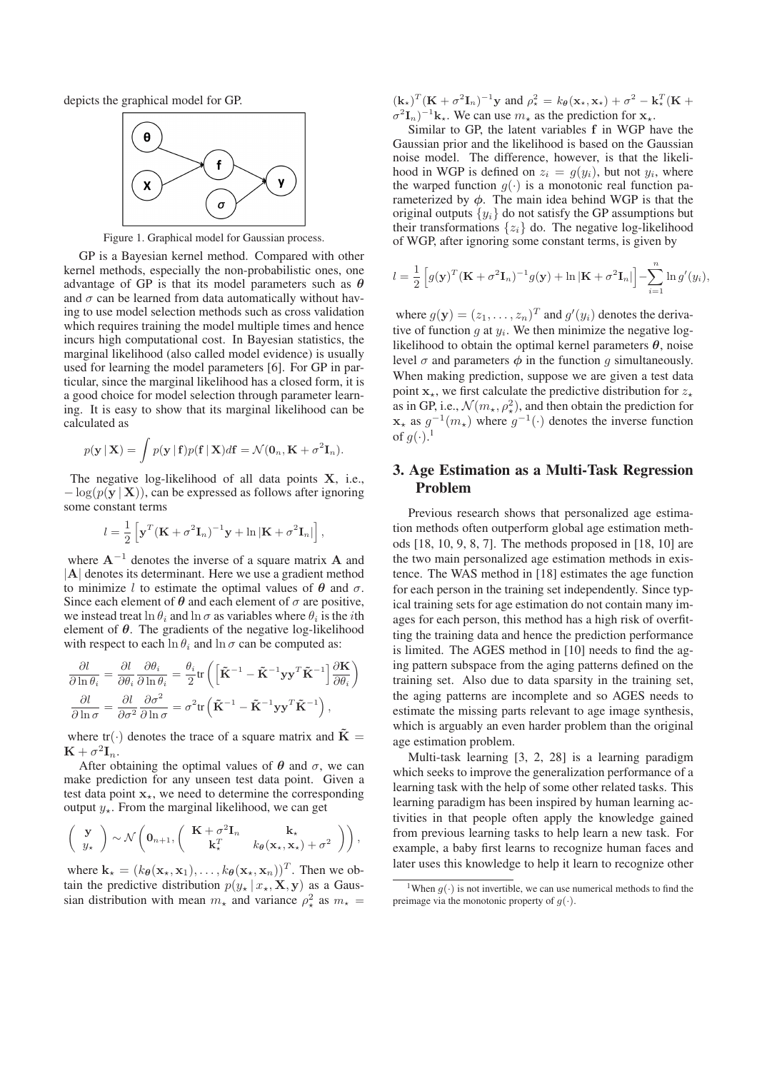depicts the graphical model for GP.



Figure 1. Graphical model for Gaussian process.

GP is a Bayesian kernel method. Compared with other kernel methods, especially the non-probabilistic ones, one advantage of GP is that its model parameters such as *θ* and  $\sigma$  can be learned from data automatically without having to use model selection methods such as cross validation which requires training the model multiple times and hence incurs high computational cost. In Bayesian statistics, the marginal likelihood (also called model evidence) is usually used for learning the model parameters [6]. For GP in particular, since the marginal likelihood has a closed form, it is a good choice for model selection through parameter learning. It is easy to show that its marginal likelihood can be calculated as

$$
p(\mathbf{y} \mid \mathbf{X}) = \int p(\mathbf{y} \mid \mathbf{f}) p(\mathbf{f} \mid \mathbf{X}) d\mathbf{f} = \mathcal{N}(\mathbf{0}_n, \mathbf{K} + \sigma^2 \mathbf{I}_n).
$$

The negative log-likelihood of all data points **X**, i.e.,  $-\log(p(\mathbf{y} \mid \mathbf{X}))$ , can be expressed as follows after ignoring some constant terms

$$
l = \frac{1}{2} \left[ \mathbf{y}^T (\mathbf{K} + \sigma^2 \mathbf{I}_n)^{-1} \mathbf{y} + \ln |\mathbf{K} + \sigma^2 \mathbf{I}_n| \right],
$$

where **A**−<sup>1</sup> denotes the inverse of a square matrix **A** and |**A**| denotes its determinant. Here we use a gradient method to minimize l to estimate the optimal values of  $\theta$  and  $\sigma$ . Since each element of  $\theta$  and each element of  $\sigma$  are positive, we instead treat  $\ln \theta_i$  and  $\ln \sigma$  as variables where  $\theta_i$  is the *i*th element of *θ*. The gradients of the negative log-likelihood with respect to each  $\ln \theta_i$  and  $\ln \sigma$  can be computed as:

$$
\frac{\partial l}{\partial \ln \theta_i} = \frac{\partial l}{\partial \theta_i} \frac{\partial \theta_i}{\partial \ln \theta_i} = \frac{\theta_i}{2} tr \left( \left[ \tilde{\mathbf{K}}^{-1} - \tilde{\mathbf{K}}^{-1} \mathbf{y} \mathbf{y}^T \tilde{\mathbf{K}}^{-1} \right] \frac{\partial \mathbf{K}}{\partial \theta_i} \right)
$$

$$
\frac{\partial l}{\partial \ln \sigma} = \frac{\partial l}{\partial \sigma^2} \frac{\partial \sigma^2}{\partial \ln \sigma} = \sigma^2 tr \left( \tilde{\mathbf{K}}^{-1} - \tilde{\mathbf{K}}^{-1} \mathbf{y} \mathbf{y}^T \tilde{\mathbf{K}}^{-1} \right),
$$

where  $tr(\cdot)$  denotes the trace of a square matrix and  $\tilde{K} =$  $\mathbf{K} + \sigma^2 \mathbf{I}_n$ .

After obtaining the optimal values of  $\theta$  and  $\sigma$ , we can make prediction for any unseen test data point. Given a test data point  $x_{\star}$ , we need to determine the corresponding output  $y_{\star}$ . From the marginal likelihood, we can get

$$
\begin{pmatrix}\n\mathbf{y} \\
y_{\star}\n\end{pmatrix} \sim \mathcal{N} \begin{pmatrix}\n\mathbf{0}_{n+1}, \begin{pmatrix}\n\mathbf{K} + \sigma^2 \mathbf{I}_n & \mathbf{k}_{\star} \\
\mathbf{k}_{\star}^T & k_{\theta}(\mathbf{x}_{\star}, \mathbf{x}_{\star}) + \sigma^2\n\end{pmatrix}\n\end{pmatrix},
$$

where  $\mathbf{k}_x = (k_\theta(\mathbf{x}_*, \mathbf{x}_1), \dots, k_\theta(\mathbf{x}_*, \mathbf{x}_n))^T$ . Then we obtain the predictive distribution  $p(y_x | x_x, \mathbf{X}, \mathbf{y})$  as a Gaus-<br>sian distribution with mean m and variance  $a^2$  as m – sian distribution with mean  $m_{\star}$  and variance  $\rho_{\star}^2$  as  $m_{\star}$  =  $(\mathbf{k}_\star)^T (\mathbf{K} + \sigma^2 \mathbf{I}_n)^{-1} \mathbf{y}$  and  $\rho_\star^2 = k_\theta(\mathbf{x}_\star, \mathbf{x}_\star) + \sigma^2 - \mathbf{k}_\star^T (\mathbf{K} + \sigma^2 \mathbf{I}_n)$  $\sigma^2 \mathbf{I}_n$ )<sup>-1</sup>**k**<sub>\*</sub>. We can use  $m_{\star}$  as the prediction for  $\mathbf{x}_{\star}$ .

Similar to GP, the latent variables **f** in WGP have the Gaussian prior and the likelihood is based on the Gaussian noise model. The difference, however, is that the likelihood in WGP is defined on  $z_i = g(y_i)$ , but not  $y_i$ , where the warped function  $g(\cdot)$  is a monotonic real function parameterized by  $\phi$ . The main idea behind WGP is that the original outputs  $\{y_i\}$  do not satisfy the GP assumptions but their transformations  $\{z_i\}$  do. The negative log-likelihood of WGP, after ignoring some constant terms, is given by

$$
l = \frac{1}{2} \left[ g(\mathbf{y})^T (\mathbf{K} + \sigma^2 \mathbf{I}_n)^{-1} g(\mathbf{y}) + \ln |\mathbf{K} + \sigma^2 \mathbf{I}_n| \right] - \sum_{i=1}^n \ln g'(y_i),
$$

where  $g(y) = (z_1, \ldots, z_n)^T$  and  $g'(y_i)$  denotes the deriva-<br>ive of function *a* at *u*. We then minimize the negative logtive of function  $g$  at  $y_i$ . We then minimize the negative loglikelihood to obtain the optimal kernel parameters  $\theta$ , noise level  $\sigma$  and parameters  $\phi$  in the function g simultaneously. When making prediction, suppose we are given a test data point  $\mathbf{x}_{\star}$ , we first calculate the predictive distribution for  $z_{\star}$ as in GP, i.e.,  $\mathcal{N}(m_{\star}, \rho_{\star}^2)$ , and then obtain the prediction for  $\mathbf{x}_{\star}$  as  $g^{-1}(m_{\star})$  where  $g^{-1}(\cdot)$  denotes the inverse function of  $g(\cdot)^{-1}$  $, \rho_*^2$ of  $g(\cdot)$ .<sup>1</sup>

## **3. Age Estimation as a Multi-Task Regression Problem**

Previous research shows that personalized age estimation methods often outperform global age estimation methods [18, 10, 9, 8, 7]. The methods proposed in [18, 10] are the two main personalized age estimation methods in existence. The WAS method in [18] estimates the age function for each person in the training set independently. Since typical training sets for age estimation do not contain many images for each person, this method has a high risk of overfitting the training data and hence the prediction performance is limited. The AGES method in [10] needs to find the aging pattern subspace from the aging patterns defined on the training set. Also due to data sparsity in the training set, the aging patterns are incomplete and so AGES needs to estimate the missing parts relevant to age image synthesis, which is arguably an even harder problem than the original age estimation problem.

Multi-task learning [3, 2, 28] is a learning paradigm which seeks to improve the generalization performance of a learning task with the help of some other related tasks. This learning paradigm has been inspired by human learning activities in that people often apply the knowledge gained from previous learning tasks to help learn a new task. For example, a baby first learns to recognize human faces and later uses this knowledge to help it learn to recognize other

<sup>&</sup>lt;sup>1</sup>When  $q(\cdot)$  is not invertible, we can use numerical methods to find the preimage via the monotonic property of  $q(\cdot)$ .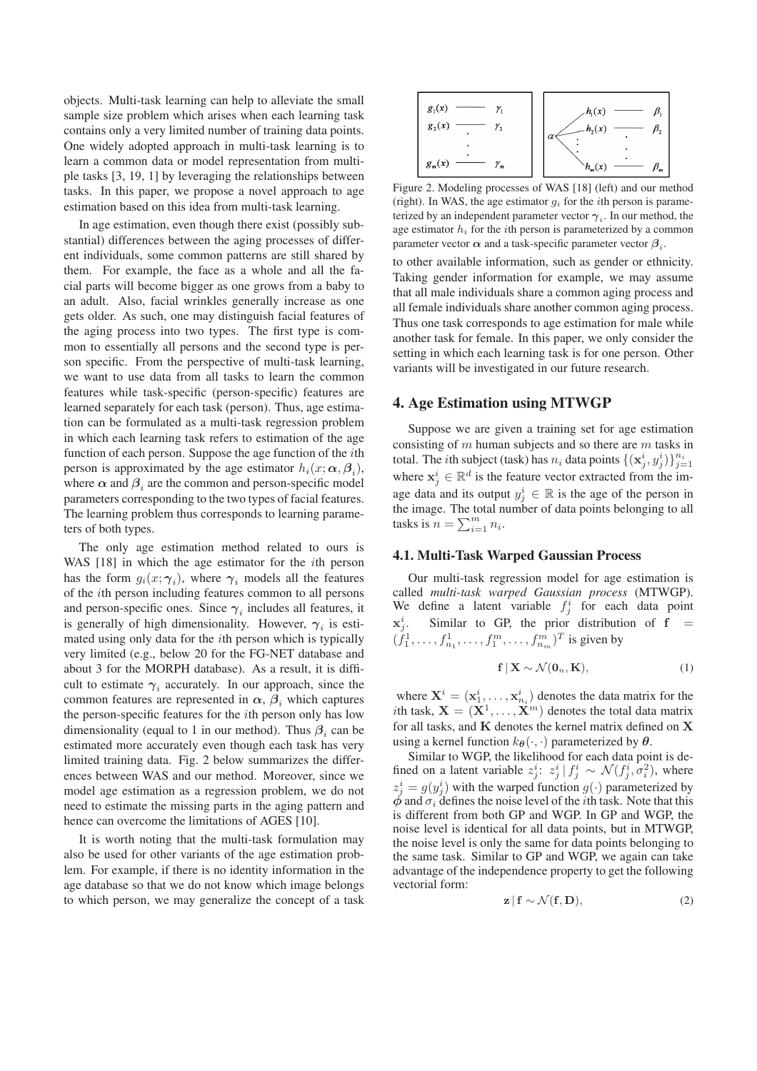objects. Multi-task learning can help to alleviate the small sample size problem which arises when each learning task contains only a very limited number of training data points. One widely adopted approach in multi-task learning is to learn a common data or model representation from multiple tasks [3, 19, 1] by leveraging the relationships between tasks. In this paper, we propose a novel approach to age estimation based on this idea from multi-task learning.

In age estimation, even though there exist (possibly substantial) differences between the aging processes of different individuals, some common patterns are still shared by them. For example, the face as a whole and all the facial parts will become bigger as one grows from a baby to an adult. Also, facial wrinkles generally increase as one gets older. As such, one may distinguish facial features of the aging process into two types. The first type is common to essentially all persons and the second type is person specific. From the perspective of multi-task learning, we want to use data from all tasks to learn the common features while task-specific (person-specific) features are learned separately for each task (person). Thus, age estimation can be formulated as a multi-task regression problem in which each learning task refers to estimation of the age function of each person. Suppose the age function of the ith person is approximated by the age estimator  $h_i(x; \alpha, \beta_i)$ , where  $\alpha$  and  $\beta$ <sub>i</sub> are the common and person-specific model parameters corresponding to the two types of facial features. The learning problem thus corresponds to learning parameters of both types.

The only age estimation method related to ours is WAS [18] in which the age estimator for the *i*th person has the form  $g_i(x; \gamma_i)$ , where  $\gamma_i$  models all the features of the ith person including features common to all persons and person-specific ones. Since  $\gamma_i$  includes all features, it is generally of high dimensionality. However,  $\gamma_i$  is estimated using only data for the ith person which is typically very limited (e.g., below 20 for the FG-NET database and about 3 for the MORPH database). As a result, it is difficult to estimate  $\gamma_i$  accurately. In our approach, since the common features are represented in  $\alpha$ ,  $\beta$ <sub>i</sub> which captures the person-specific features for the ith person only has low dimensionality (equal to 1 in our method). Thus  $\beta_i$  can be estimated more accurately even though each task has very limited training data. Fig. 2 below summarizes the differences between WAS and our method. Moreover, since we model age estimation as a regression problem, we do not need to estimate the missing parts in the aging pattern and hence can overcome the limitations of AGES [10].

It is worth noting that the multi-task formulation may also be used for other variants of the age estimation problem. For example, if there is no identity information in the age database so that we do not know which image belongs to which person, we may generalize the concept of a task



Figure 2. Modeling processes of WAS [18] (left) and our method (right). In WAS, the age estimator  $g_i$  for the *i*th person is parameterized by an independent parameter vector  $\gamma_i$ . In our method, the age estimator  $h_i$  for the *i*th person is parameterized by a common parameter vector  $\alpha$  and a task-specific parameter vector  $\beta_i$ .

to other available information, such as gender or ethnicity. Taking gender information for example, we may assume that all male individuals share a common aging process and all female individuals share another common aging process. Thus one task corresponds to age estimation for male while another task for female. In this paper, we only consider the setting in which each learning task is for one person. Other variants will be investigated in our future research.

### **4. Age Estimation using MTWGP**

Suppose we are given a training set for age estimation consisting of  $m$  human subjects and so there are  $m$  tasks in total. The *i*th subject (task) has  $n_i$  data points  $\{(\mathbf{x}_j^i, y_j^i)\}_{j=1}^{n_i}$ where  $x_j^i \in \mathbb{R}^d$  is the feature vector extracted from the image data and its output  $y_j^i \in \mathbb{R}$  is the age of the person in the image. The total number of data points belonging to all tasks is  $n = \sum_{i=1}^{m} n_i$ .

### **4.1. Multi-Task Warped Gaussian Process**

Our multi-task regression model for age estimation is called *multi-task warped Gaussian process* (MTWGP). We define a latent variable  $f_j^i$  for each data point  $\mathbf{x}_j^i$ . Similar to GP, the prior distribution of  $\mathbf{f} = \begin{pmatrix} x_1 & t_1 & t_2 & t_3 \end{pmatrix}$  $(f_1^1, \ldots, f_{n_1}^1, \ldots, f_1^m, \ldots, f_{n_m}^m)^T$  is given by

$$
\mathbf{f} \,|\, \mathbf{X} \sim \mathcal{N}(\mathbf{0}_n, \mathbf{K}),\tag{1}
$$

where  $\mathbf{X}^i = (\mathbf{x}_1^i, \dots, \mathbf{x}_{n_i}^i)$  denotes the data matrix for the the task  $\mathbf{X} = (\mathbf{X}^1, \dots, \mathbf{X}^m)$  denotes the total data matrix ith task,  $\mathbf{X} = (\mathbf{X}^1, \dots, \mathbf{X}^m)$  denotes the total data matrix<br>for all tasks, and **K** denotes the kernel matrix defined on **X** for all tasks, and **K** denotes the kernel matrix defined on **X** using a kernel function  $k_{\theta}(\cdot, \cdot)$  parameterized by  $\theta$ .

Similar to WGP, the likelihood for each data point is defined on a latent variable  $z_j^i$ :  $z_j^i | f_j^i \sim \mathcal{N}(f_j^i, \sigma_i^2)$ , where  $z_j^i = g(y_j^i)$  with the warped function  $g(\cdot)$  parameterized by  $\phi$  and  $\sigma_i$  defines the noise level of the *i*th task. Note that this  $\phi$  and  $\sigma_i$  defines the noise level of the *i*th task. Note that this is different from both GP and WGP. In GP and WGP, the noise level is identical for all data points, but in MTWGP, the noise level is only the same for data points belonging to the same task. Similar to GP and WGP, we again can take advantage of the independence property to get the following vectorial form:

$$
\mathbf{z} \mid \mathbf{f} \sim \mathcal{N}(\mathbf{f}, \mathbf{D}),\tag{2}
$$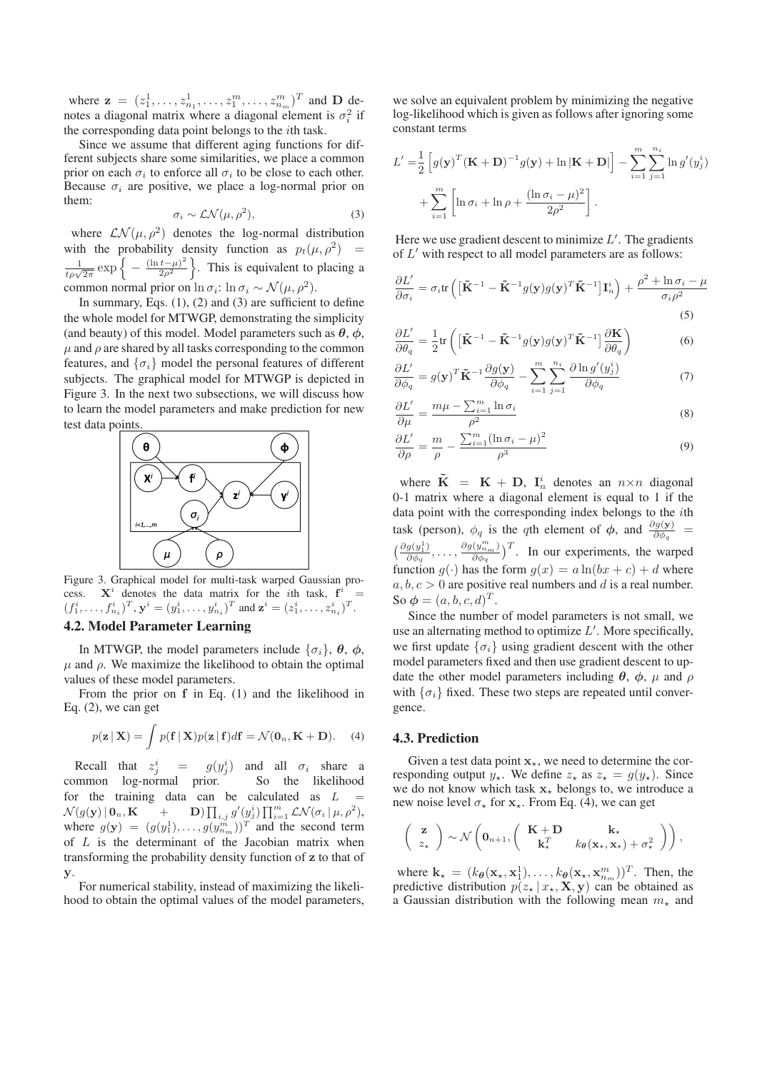where  $\mathbf{z} = (z_1^1, \dots, z_{n_1}^1, \dots, z_1^m, \dots, z_{n_m}^m)^T$  and **D** de-<br>notes a diagonal matrix where a diagonal element is  $\sigma^2$  if notes a diagonal matrix where a diagonal element is  $\sigma_i^2$  if the corresponding data point belongs to the ith task.

Since we assume that different aging functions for different subjects share some similarities, we place a common prior on each  $\sigma_i$  to enforce all  $\sigma_i$  to be close to each other. Because  $\sigma_i$  are positive, we place a log-normal prior on them:

$$
\sigma_i \sim \mathcal{LN}(\mu, \rho^2),\tag{3}
$$

where  $\mathcal{LN}(\mu, \rho^2)$  denotes the log-normal distribution<br>with the probability density function as  $p_t(\mu, \rho^2)$ with the probability density function as  $p_t(\mu, \rho^2) = \frac{1}{t\rho\sqrt{2\pi}} \exp\left\{-\frac{(\ln t - \mu)^2}{2\rho^2}\right\}$ . This is equivalent to placing a common normal prior on ln  $\sigma_i$ : ln  $\sigma_i \sim \mathcal{N}(\mu, \rho^2)$ .

In summary, Eqs.  $(1)$ ,  $(2)$  and  $(3)$  are sufficient to define the whole model for MTWGP, demonstrating the simplicity (and beauty) of this model. Model parameters such as *θ*, *φ*,  $\mu$  and  $\rho$  are shared by all tasks corresponding to the common features, and  $\{\sigma_i\}$  model the personal features of different subjects. The graphical model for MTWGP is depicted in Figure 3. In the next two subsections, we will discuss how to learn the model parameters and make prediction for new test data points



Figure 3. Graphical model for multi-task warped Gaussian process.  $X^i$  denotes the data matrix for the *i*th task,  $f^{i}$  =  $(f_1^i, \ldots, f_{n_i}^i)^T$ ,  $\mathbf{y}^i = (y_1^i, \ldots, y_{n_i}^i)^T$  and  $\mathbf{z}^i = (z_1^i, \ldots, z_{n_i}^i)^T$ . **4.2. Model Parameter Learning**

In MTWGP, the model parameters include  $\{\sigma_i\}$ ,  $\theta$ ,  $\phi$ ,  $\mu$  and  $\rho$ . We maximize the likelihood to obtain the optimal values of these model parameters.

From the prior on **f** in Eq. (1) and the likelihood in Eq. (2), we can get

$$
p(\mathbf{z} \mid \mathbf{X}) = \int p(\mathbf{f} \mid \mathbf{X}) p(\mathbf{z} \mid \mathbf{f}) d\mathbf{f} = \mathcal{N}(\mathbf{0}_n, \mathbf{K} + \mathbf{D}). \tag{4}
$$

Recall that  $z_j^i = g(y_j^i)$  and all  $\sigma_i$  share a<br>mmon log-normal prior. So the likelihood common log-normal prior. So the likelihood for the training data can be calculated as  $L =$  $\mathcal{N}(g(\mathbf{y})\,|\, \mathbf{0}_n, \mathbf{K} \quad \quad + \quad \quad \mathbf{D}) \prod_{i,j} g'(y^i_j) \prod_{i=1}^m \mathcal{LN}(\sigma_i \,|\, \mu, \rho^2),$ where  $g(\mathbf{y}) = (g(y_1^1),...,g(y_{n_m}^m))^T$  and the second term of  $L$  is the determinant of the Jacobian matrix when transforming the probability density function of **z** to that of **y**.

For numerical stability, instead of maximizing the likelihood to obtain the optimal values of the model parameters,

we solve an equivalent problem by minimizing the negative log-likelihood which is given as follows after ignoring some constant terms

$$
L' = \frac{1}{2} \left[ g(\mathbf{y})^T (\mathbf{K} + \mathbf{D})^{-1} g(\mathbf{y}) + \ln |\mathbf{K} + \mathbf{D}| \right] - \sum_{i=1}^m \sum_{j=1}^{n_i} \ln g'(y_j^i)
$$
  
+ 
$$
\sum_{i=1}^m \left[ \ln \sigma_i + \ln \rho + \frac{(\ln \sigma_i - \mu)^2}{2\rho^2} \right].
$$

Here we use gradient descent to minimize  $L'$ . The gradients of  $L'$  with respect to all model parameters are as follows:

$$
\frac{\partial L'}{\partial \sigma_i} = \sigma_i \text{tr} \left( \left[ \tilde{\mathbf{K}}^{-1} - \tilde{\mathbf{K}}^{-1} g(\mathbf{y}) g(\mathbf{y})^T \tilde{\mathbf{K}}^{-1} \right] \mathbf{I}_n^i \right) + \frac{\rho^2 + \ln \sigma_i - \mu}{\sigma_i \rho^2}
$$
\n(5)

$$
\frac{\partial L'}{\partial \theta_q} = \frac{1}{2} \text{tr} \left( \left[ \tilde{\mathbf{K}}^{-1} - \tilde{\mathbf{K}}^{-1} g(\mathbf{y}) g(\mathbf{y})^T \tilde{\mathbf{K}}^{-1} \right] \frac{\partial \mathbf{K}}{\partial \theta_q} \right)
$$
(6)

$$
\frac{\partial L'}{\partial \phi_q} = g(\mathbf{y})^T \tilde{\mathbf{K}}^{-1} \frac{\partial g(\mathbf{y})}{\partial \phi_q} - \sum_{i=1}^m \sum_{j=1}^{n_i} \frac{\partial \ln g'(y_j^i)}{\partial \phi_q} \tag{7}
$$

$$
\frac{\partial L'}{\partial \mu} = \frac{m\mu - \sum_{i=1}^{m} \ln \sigma_i}{\rho^2}
$$
\n(8)

$$
\frac{\partial L'}{\partial \rho} = \frac{m}{\rho} - \frac{\sum_{i=1}^{m} (\ln \sigma_i - \mu)^2}{\rho^3} \tag{9}
$$

where  $\tilde{\mathbf{K}} = \mathbf{K} + \mathbf{D}$ ,  $\mathbf{I}_n^i$  denotes an  $n \times n$  diagonal<br>1 matrix where a diagonal element is equal to 1 if the 0-1 matrix where a diagonal element is equal to 1 if the data point with the corresponding index belongs to the ith task (person),  $\phi_q$  is the qth element of  $\phi$ , and  $\frac{\partial g(\mathbf{y})}{\partial \phi_q}$  $\left(\frac{\partial g(y_1^1)}{\partial \phi_q}, \ldots, \frac{\partial g(y_m^m)}{\partial \phi_q}\right)^T$ . In our experiments, the warped function  $g(\cdot)$  has the form  $g(x) = a \ln(bx + c) + d$  where  $a, b, c > 0$  are positive real numbers and d is a real number. So  $\phi = (a, b, c, d)^T$ .

Since the number of model parameters is not small, we use an alternating method to optimize  $L'$ . More specifically, we first update  $\{\sigma_i\}$  using gradient descent with the other model parameters fixed and then use gradient descent to update the other model parameters including  $\theta$ ,  $\phi$ ,  $\mu$  and  $\rho$ with  $\{\sigma_i\}$  fixed. These two steps are repeated until convergence.

#### **4.3. Prediction**

Given a test data point  $x_{\star}$ , we need to determine the corresponding output  $y_*$ . We define  $z_*$  as  $z_* = g(y_*)$ . Since we do not know which task x, belongs to we introduce a we do not know which task  $x_{\star}$  belongs to, we introduce a new noise level  $\sigma_{\star}$  for  $\mathbf{x}_{\star}$ . From Eq. (4), we can get

$$
\begin{pmatrix} z \\ z_{\star} \end{pmatrix} \sim \mathcal{N}\left(0_{n+1}, \begin{pmatrix} \mathbf{K} + \mathbf{D} & \mathbf{k}_{\star} \\ \mathbf{k}_{\star}^{T} & k_{\theta}(\mathbf{x}_{\star}, \mathbf{x}_{\star}) + \sigma_{\star}^{2} \end{pmatrix}\right),
$$

where  $\mathbf{k}_\star = (k_\theta(\mathbf{x}_\star, \mathbf{x}_1^1), \ldots, k_\theta(\mathbf{x}_\star, \mathbf{x}_m^m))^T$ . Then, the predictive distribution  $n(z, |x, \mathbf{X}, \mathbf{y})$  can be obtained as predictive distribution  $p(z_*, \mathbf{X}, \mathbf{y})$  can be obtained as <br>a Gaussian distribution with the following mean m, and a Gaussian distribution with the following mean  $m_{\star}$  and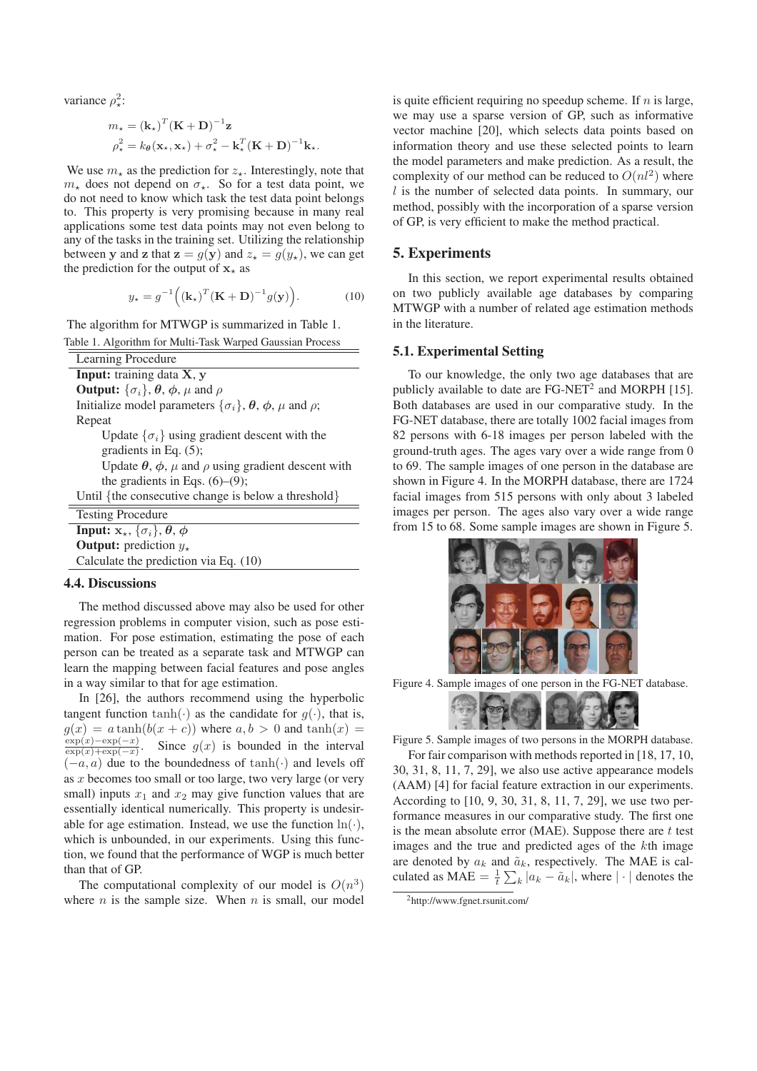variance  $\rho^2_{\star}$ :

$$
m_{\star} = (\mathbf{k}_{\star})^T (\mathbf{K} + \mathbf{D})^{-1} \mathbf{z}
$$
  

$$
\rho_{\star}^2 = k_{\theta} (\mathbf{x}_{\star}, \mathbf{x}_{\star}) + \sigma_{\star}^2 - \mathbf{k}_{\star}^T (\mathbf{K} + \mathbf{D})^{-1} \mathbf{k}_{\star}
$$

We use  $m_{\star}$  as the prediction for  $z_{\star}$ . Interestingly, note that  $m_{\star}$  does not depend on  $\sigma_{\star}$ . So for a test data point, we do not need to know which task the test data point belongs to. This property is very promising because in many real applications some test data points may not even belong to any of the tasks in the training set. Utilizing the relationship between **y** and **z** that  $\mathbf{z} = g(\mathbf{y})$  and  $z_{\star} = g(y_{\star})$ , we can get the prediction for the output of **x**, as the prediction for the output of  $x_{\star}$  as

$$
y_{\star} = g^{-1}\Big((\mathbf{k}_{\star})^T(\mathbf{K} + \mathbf{D})^{-1}g(\mathbf{y})\Big). \tag{10}
$$

.

The algorithm for MTWGP is summarized in Table 1. Table 1. Algorithm for Multi-Task Warped Gaussian Process

| Learning Procedure                                                                  |
|-------------------------------------------------------------------------------------|
| <b>Input:</b> training data <b>X</b> , y                                            |
| <b>Output:</b> $\{\sigma_i\}$ , $\theta$ , $\phi$ , $\mu$ and $\rho$                |
| Initialize model parameters $\{\sigma_i\}$ , $\theta$ , $\phi$ , $\mu$ and $\rho$ ; |
| Repeat                                                                              |
| Update $\{\sigma_i\}$ using gradient descent with the                               |
| gradients in Eq. $(5)$ ;                                                            |
| Update $\theta$ , $\phi$ , $\mu$ and $\rho$ using gradient descent with             |
| the gradients in Eqs. $(6)-(9)$ ;                                                   |
| Until {the consecutive change is below a threshold}                                 |
| <b>Testing Procedure</b>                                                            |
| <b>Input:</b> $\mathbf{x}_{\star}$ , { $\sigma$ <sub>i</sub> }, $\theta$ , $\phi$   |
| <b>Output:</b> prediction $y_{\star}$                                               |
| Calculate the prediction via Eq. (10)                                               |

### **4.4. Discussions**

The method discussed above may also be used for other regression problems in computer vision, such as pose estimation. For pose estimation, estimating the pose of each person can be treated as a separate task and MTWGP can learn the mapping between facial features and pose angles in a way similar to that for age estimation.

In [26], the authors recommend using the hyperbolic tangent function  $tanh(\cdot)$  as the candidate for  $g(\cdot)$ , that is,  $g(x) = a \tanh(b(x + c))$  where  $a, b > 0$  and  $\tanh(x) =$  $\frac{\exp(x)-\exp(-x)}{\exp(x)+\exp(-x)}$ . Since  $g(x)$  is bounded in the interval  $(-a, a)$  due to the boundedness of tanh(·) and levels off as  $x$  becomes too small or too large, two very large (or very small) inputs  $x_1$  and  $x_2$  may give function values that are essentially identical numerically. This property is undesirable for age estimation. Instead, we use the function  $\ln(\cdot)$ , which is unbounded, in our experiments. Using this function, we found that the performance of WGP is much better than that of GP.

The computational complexity of our model is  $O(n^3)$ where  $n$  is the sample size. When  $n$  is small, our model is quite efficient requiring no speedup scheme. If  $n$  is large, we may use a sparse version of GP, such as informative vector machine [20], which selects data points based on information theory and use these selected points to learn the model parameters and make prediction. As a result, the complexity of our method can be reduced to  $O(nl^2)$  where  $l$  is the number of selected data points. In summary, our method, possibly with the incorporation of a sparse version of GP, is very efficient to make the method practical.

### **5. Experiments**

In this section, we report experimental results obtained on two publicly available age databases by comparing MTWGP with a number of related age estimation methods in the literature.

#### **5.1. Experimental Setting**

To our knowledge, the only two age databases that are publicly available to date are  $FG-NET<sup>2</sup>$  and MORPH [15]. Both databases are used in our comparative study. In the FG-NET database, there are totally 1002 facial images from 82 persons with 6-18 images per person labeled with the ground-truth ages. The ages vary over a wide range from 0 to 69. The sample images of one person in the database are shown in Figure 4. In the MORPH database, there are 1724 facial images from 515 persons with only about 3 labeled images per person. The ages also vary over a wide range from 15 to 68. Some sample images are shown in Figure 5.



Figure 4. Sample images of one person in the FG-NET database.



Figure 5. Sample images of two persons in the MORPH database. For fair comparison with methods reported in [18, 17, 10, 30, 31, 8, 11, 7, 29], we also use active appearance models (AAM) [4] for facial feature extraction in our experiments. According to [10, 9, 30, 31, 8, 11, 7, 29], we use two performance measures in our comparative study. The first one is the mean absolute error (MAE). Suppose there are  $t$  test images and the true and predicted ages of the kth image are denoted by  $a_k$  and  $\tilde{a}_k$ , respectively. The MAE is calculated as  $\text{MAE} = \frac{1}{t} \sum_{k} |a_k - \tilde{a}_k|$ , where  $|\cdot|$  denotes the

<sup>2</sup>http://www.fgnet.rsunit.com/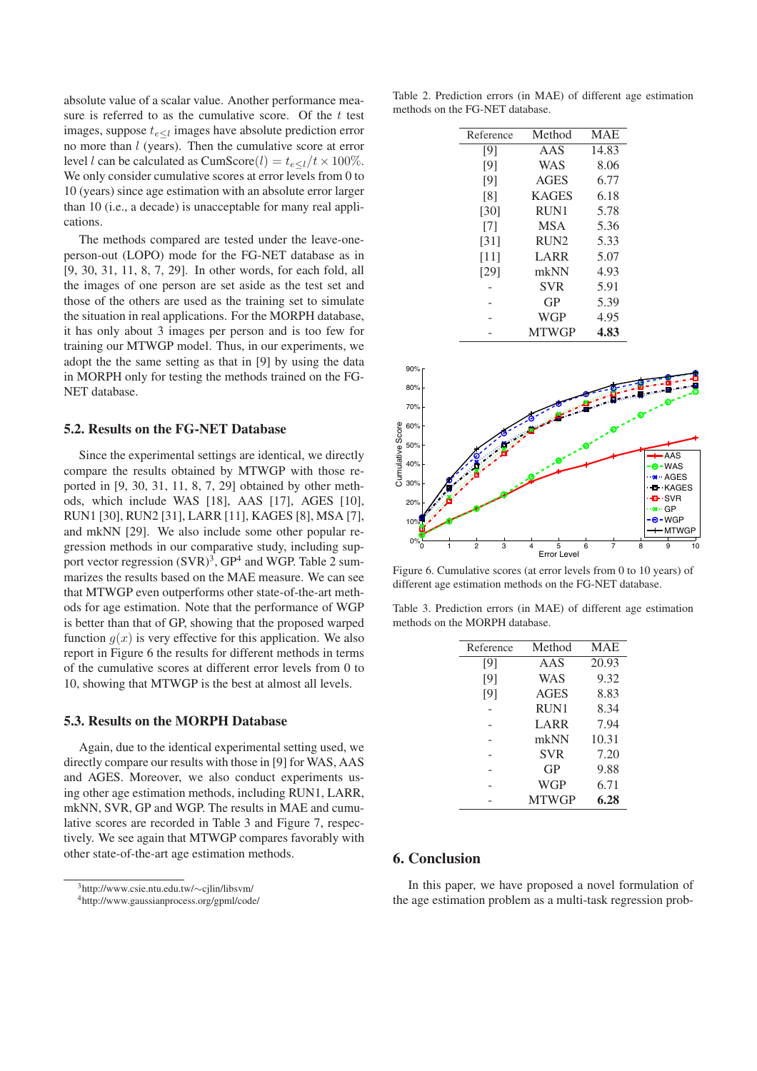absolute value of a scalar value. Another performance measure is referred to as the cumulative score. Of the  $t$  test images, suppose  $t_{e \leq l}$  images have absolute prediction error no more than  $l$  (years). Then the cumulative score at error level l can be calculated as CumScore(l) =  $t_{e \le l}/t \times 100\%$ . We only consider cumulative scores at error levels from 0 to 10 (years) since age estimation with an absolute error larger than 10 (i.e., a decade) is unacceptable for many real applications.

The methods compared are tested under the leave-oneperson-out (LOPO) mode for the FG-NET database as in [9, 30, 31, 11, 8, 7, 29]. In other words, for each fold, all the images of one person are set aside as the test set and those of the others are used as the training set to simulate the situation in real applications. For the MORPH database, it has only about 3 images per person and is too few for training our MTWGP model. Thus, in our experiments, we adopt the the same setting as that in [9] by using the data in MORPH only for testing the methods trained on the FG-NET database.

#### **5.2. Results on the FG-NET Database**

Since the experimental settings are identical, we directly compare the results obtained by MTWGP with those reported in [9, 30, 31, 11, 8, 7, 29] obtained by other methods, which include WAS [18], AAS [17], AGES [10], RUN1 [30], RUN2 [31], LARR [11], KAGES [8], MSA [7], and mkNN [29]. We also include some other popular regression methods in our comparative study, including support vector regression  $(SVR)^3$ ,  $GP^4$  and WGP. Table 2 summarizes the results based on the MAE measure. We can see that MTWGP even outperforms other state-of-the-art methods for age estimation. Note that the performance of WGP is better than that of GP, showing that the proposed warped function  $q(x)$  is very effective for this application. We also report in Figure 6 the results for different methods in terms of the cumulative scores at different error levels from 0 to 10, showing that MTWGP is the best at almost all levels.

#### **5.3. Results on the MORPH Database**

Again, due to the identical experimental setting used, we directly compare our results with those in [9] for WAS, AAS and AGES. Moreover, we also conduct experiments using other age estimation methods, including RUN1, LARR, mkNN, SVR, GP and WGP. The results in MAE and cumulative scores are recorded in Table 3 and Figure 7, respectively. We see again that MTWGP compares favorably with other state-of-the-art age estimation methods.

Table 2. Prediction errors (in MAE) of different age estimation methods on the FG-NET database.

| Reference | Method           | <b>MAE</b> |
|-----------|------------------|------------|
| [9]       | AAS              | 14.83      |
| [9]       | WAS              | 8.06       |
| [9]       | <b>AGES</b>      | 6.77       |
| [8]       | <b>KAGES</b>     | 6.18       |
| [30]      | <b>RUN1</b>      | 5.78       |
| [7]       | MSA              | 5.36       |
| [31]      | RUN <sub>2</sub> | 5.33       |
| $[11]$    | LARR             | 5.07       |
| [29]      | mkNN             | 4.93       |
|           | <b>SVR</b>       | 5.91       |
|           | GP               | 5.39       |
|           | <b>WGP</b>       | 4.95       |
|           | <b>MTWGP</b>     | 4.83       |



Figure 6. Cumulative scores (at error levels from 0 to 10 years) of different age estimation methods on the FG-NET database.

Table 3. Prediction errors (in MAE) of different age estimation methods on the MORPH database.

| Reference | Method       | <b>MAE</b> |
|-----------|--------------|------------|
| [9]       | AAS          | 20.93      |
| [9]       | <b>WAS</b>   | 9.32       |
| [9]       | <b>AGES</b>  | 8.83       |
|           | <b>RUN1</b>  | 8.34       |
|           | LARR         | 7.94       |
|           | mkNN         | 10.31      |
|           | <b>SVR</b>   | 7.20       |
|           | GP           | 9.88       |
|           | WGP          | 6.71       |
|           | <b>MTWGP</b> | 6.28       |

### **6. Conclusion**

In this paper, we have proposed a novel formulation of the age estimation problem as a multi-task regression prob-

<sup>3</sup>http://www.csie.ntu.edu.tw/∼cjlin/libsvm/ 4http://www.gaussianprocess.org/gpml/code/